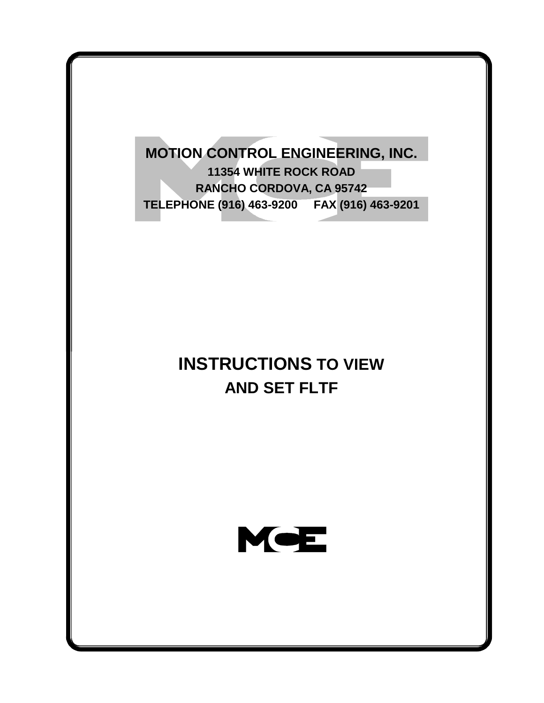**MOTION CONTROL ENGINEERING, INC. 11354 WHITE ROCK ROAD RANCHO CORDOVA, CA 95742 TELEPHONE (916) 463-9200 FAX (916) 463-9201**

## **INSTRUCTIONS TO VIEW AND SET FLTF**

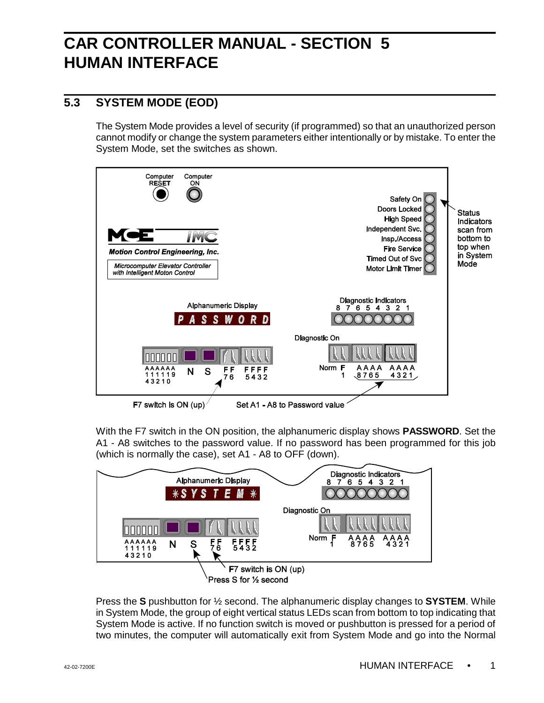## **CAR CONTROLLER MANUAL - SECTION 5 HUMAN INTERFACE**

## **5.3 SYSTEM MODE (EOD)**

The System Mode provides a level of security (if programmed) so that an unauthorized person cannot modify or change the system parameters either intentionally or by mistake. To enter the System Mode, set the switches as shown.



With the F7 switch in the ON position, the alphanumeric display shows **PASSWORD**. Set the A1 - A8 switches to the password value. If no password has been programmed for this job (which is normally the case), set A1 - A8 to OFF (down).



Press the **S** pushbutton for ½ second. The alphanumeric display changes to **SYSTEM**. While in System Mode, the group of eight vertical status LEDs scan from bottom to top indicating that System Mode is active. If no function switch is moved or pushbutton is pressed for a period of two minutes, the computer will automatically exit from System Mode and go into the Normal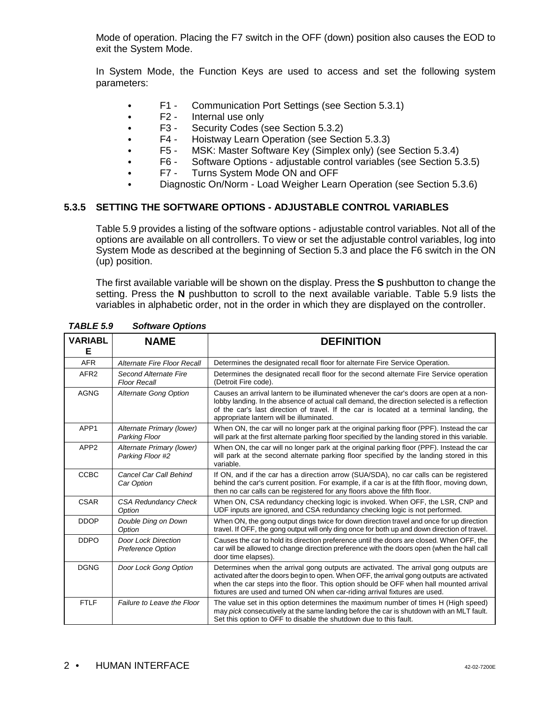Mode of operation. Placing the F7 switch in the OFF (down) position also causes the EOD to exit the System Mode.

In System Mode, the Function Keys are used to access and set the following system parameters:

- F1 Communication Port Settings (see Section 5.3.1)
- F2 Internal use only
- F3 Security Codes (see Section 5.3.2)
- F4 Hoistway Learn Operation (see Section 5.3.3)
- F5 MSK: Master Software Key (Simplex only) (see Section 5.3.4)<br>F6 Software Options adiustable control variables (see Section 5.
- F6 Software Options adjustable control variables (see Section 5.3.5)<br>F7 Turns System Mode ON and OFF
- Turns System Mode ON and OFF
- ` Diagnostic On/Norm Load Weigher Learn Operation (see Section 5.3.6)

## **5.3.5 SETTING THE SOFTWARE OPTIONS - ADJUSTABLE CONTROL VARIABLES**

Table 5.9 provides a listing of the software options - adjustable control variables. Not all of the options are available on all controllers. To view or set the adjustable control variables, log into System Mode as described at the beginning of Section 5.3 and place the F6 switch in the ON (up) position.

The first available variable will be shown on the display. Press the **S** pushbutton to change the setting. Press the **N** pushbutton to scroll to the next available variable. Table 5.9 lists the variables in alphabetic order, not in the order in which they are displayed on the controller.

| <b>VARIABL</b><br>Е | <b>NAME</b>                                     | <b>DEFINITION</b>                                                                                                                                                                                                                                                                                                                                         |
|---------------------|-------------------------------------------------|-----------------------------------------------------------------------------------------------------------------------------------------------------------------------------------------------------------------------------------------------------------------------------------------------------------------------------------------------------------|
| <b>AFR</b>          | Alternate Fire Floor Recall                     | Determines the designated recall floor for alternate Fire Service Operation.                                                                                                                                                                                                                                                                              |
| AFR <sub>2</sub>    | Second Alternate Fire<br><b>Floor Recall</b>    | Determines the designated recall floor for the second alternate Fire Service operation<br>(Detroit Fire code).                                                                                                                                                                                                                                            |
| <b>AGNG</b>         | Alternate Gong Option                           | Causes an arrival lantern to be illuminated whenever the car's doors are open at a non-<br>lobby landing. In the absence of actual call demand, the direction selected is a reflection<br>of the car's last direction of travel. If the car is located at a terminal landing, the<br>appropriate lantern will be illuminated.                             |
| APP1                | Alternate Primary (lower)<br>Parking Floor      | When ON, the car will no longer park at the original parking floor (PPF). Instead the car<br>will park at the first alternate parking floor specified by the landing stored in this variable.                                                                                                                                                             |
| APP <sub>2</sub>    | Alternate Primary (lower)<br>Parking Floor #2   | When ON, the car will no longer park at the original parking floor (PPF). Instead the car<br>will park at the second alternate parking floor specified by the landing stored in this<br>variable.                                                                                                                                                         |
| <b>CCBC</b>         | Cancel Car Call Behind<br>Car Option            | If ON, and if the car has a direction arrow (SUA/SDA), no car calls can be registered<br>behind the car's current position. For example, if a car is at the fifth floor, moving down,<br>then no car calls can be registered for any floors above the fifth floor.                                                                                        |
| <b>CSAR</b>         | <b>CSA Redundancy Check</b><br>Option           | When ON, CSA redundancy checking logic is invoked. When OFF, the LSR, CNP and<br>UDF inputs are ignored, and CSA redundancy checking logic is not performed.                                                                                                                                                                                              |
| <b>DDOP</b>         | Double Ding on Down<br>Option                   | When ON, the gong output dings twice for down direction travel and once for up direction<br>travel. If OFF, the gong output will only ding once for both up and down direction of travel.                                                                                                                                                                 |
| <b>DDPO</b>         | <b>Door Lock Direction</b><br>Preference Option | Causes the car to hold its direction preference until the doors are closed. When OFF, the<br>car will be allowed to change direction preference with the doors open (when the hall call<br>door time elapses).                                                                                                                                            |
| <b>DGNG</b>         | Door Lock Gong Option                           | Determines when the arrival gong outputs are activated. The arrival gong outputs are<br>activated after the doors begin to open. When OFF, the arrival gong outputs are activated<br>when the car steps into the floor. This option should be OFF when hall mounted arrival<br>fixtures are used and turned ON when car-riding arrival fixtures are used. |
| <b>FTLF</b>         | Failure to Leave the Floor                      | The value set in this option determines the maximum number of times H (High speed)<br>may pick consecutively at the same landing before the car is shutdown with an MLT fault.<br>Set this option to OFF to disable the shutdown due to this fault.                                                                                                       |

*TABLE 5.9 Software Options*